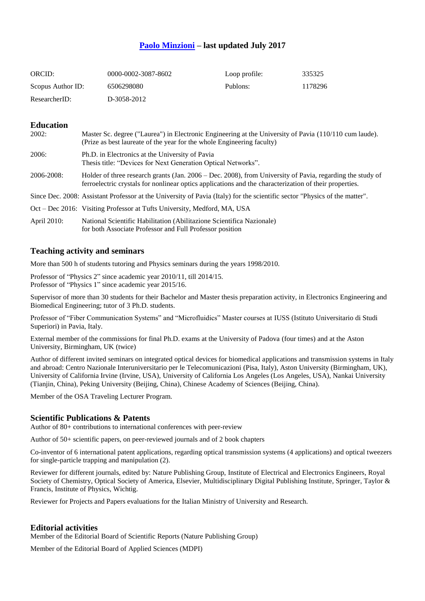# **[Paolo Minzioni](https://scholar.google.it/citations?user=uuhhvdgAAAAJ&hl=it) – last updated July 2017**

| ORCID:            | 0000-0002-3087-8602 | Loop profile: | 335325  |
|-------------------|---------------------|---------------|---------|
| Scopus Author ID: | 6506298080          | Publons:      | 1178296 |
| ResearcherID:     | D-3058-2012         |               |         |

### **Education**

| 2002:       | Master Sc. degree ("Laurea") in Electronic Engineering at the University of Pavia (110/110 cum laude).<br>(Prize as best laureate of the year for the whole Engineering faculty)                                    |
|-------------|---------------------------------------------------------------------------------------------------------------------------------------------------------------------------------------------------------------------|
| 2006:       | Ph.D. in Electronics at the University of Pavia<br>Thesis title: "Devices for Next Generation Optical Networks".                                                                                                    |
| 2006-2008:  | Holder of three research grants (Jan. 2006 – Dec. 2008), from University of Pavia, regarding the study of<br>ferroelectric crystals for nonlinear optics applications and the characterization of their properties. |
|             | Since Dec. 2008: Assistant Professor at the University of Pavia (Italy) for the scientific sector "Physics of the matter".                                                                                          |
|             | Oct – Dec 2016: Visiting Professor at Tufts University, Medford, MA, USA                                                                                                                                            |
| April 2010: | National Scientific Habilitation (Abilitazione Scientifica Nazionale)<br>for both Associate Professor and Full Professor position                                                                                   |

## **Teaching activity and seminars**

More than 500 h of students tutoring and Physics seminars during the years 1998/2010.

Professor of "Physics 2" since academic year 2010/11, till 2014/15. Professor of "Physics 1" since academic year 2015/16.

Supervisor of more than 30 students for their Bachelor and Master thesis preparation activity, in Electronics Engineering and Biomedical Engineering; tutor of 3 Ph.D. students.

Professor of "Fiber Communication Systems" and "Microfluidics" Master courses at IUSS (Istituto Universitario di Studi Superiori) in Pavia, Italy.

External member of the commissions for final Ph.D. exams at the University of Padova (four times) and at the Aston University, Birmingham, UK (twice)

Author of different invited seminars on integrated optical devices for biomedical applications and transmission systems in Italy and abroad: Centro Nazionale Interuniversitario per le Telecomunicazioni (Pisa, Italy), Aston University (Birmingham, UK), University of California Irvine (Irvine, USA), University of California Los Angeles (Los Angeles, USA), Nankai University (Tianjin, China), Peking University (Beijing, China), Chinese Academy of Sciences (Beijing, China).

Member of the OSA Traveling Lecturer Program.

### **Scientific Publications & Patents**

Author of 80+ contributions to international conferences with peer-review

Author of 50+ scientific papers, on peer-reviewed journals and of 2 book chapters

Co-inventor of 6 international patent applications, regarding optical transmission systems (4 applications) and optical tweezers for single-particle trapping and manipulation (2).

Reviewer for different journals, edited by: Nature Publishing Group, Institute of Electrical and Electronics Engineers, Royal Society of Chemistry, Optical Society of America, Elsevier, Multidisciplinary Digital Publishing Institute, Springer, Taylor & Francis, Institute of Physics, Wichtig.

Reviewer for Projects and Papers evaluations for the Italian Ministry of University and Research.

### **Editorial activities**

Member of the Editorial Board of Scientific Reports (Nature Publishing Group)

Member of the Editorial Board of Applied Sciences (MDPI)